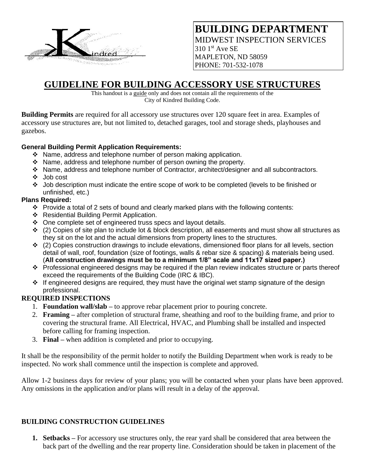

## **BUILDING DEPARTMENT** MIDWEST INSPECTION SERVICES  $310$  1st Ave SE MAPLETON, ND 58059 PHONE: 701-532-1078

## **GUIDELINE FOR BUILDING ACCESSORY USE STRUCTURES**

This handout is a guide only and does not contain all the requirements of the City of Kindred Building Code.

**Building Permits** are required for all accessory use structures over 120 square feet in area. Examples of accessory use structures are, but not limited to, detached garages, tool and storage sheds, playhouses and gazebos.

## **General Building Permit Application Requirements:**

- ❖ Name, address and telephone number of person making application.
- ❖ Name, address and telephone number of person owning the property.
- ❖ Name, address and telephone number of Contractor, architect/designer and all subcontractors.
- ❖ Job cost
- ❖ Job description must indicate the entire scope of work to be completed (levels to be finished or unfinished, etc.)

## **Plans Required:**

- ❖ Provide a total of 2 sets of bound and clearly marked plans with the following contents:
- ❖ Residential Building Permit Application.
- ❖ One complete set of engineered truss specs and layout details.
- ❖ (2) Copies of site plan to include lot & block description, all easements and must show all structures as they sit on the lot and the actual dimensions from property lines to the structures.
- ◆ (2) Copies construction drawings to include elevations, dimensioned floor plans for all levels, section detail of wall, roof, foundation (size of footings, walls & rebar size & spacing) & materials being used. (**All construction drawings must be to a minimum 1/8" scale and 11x17 sized paper.)**
- ❖ Professional engineered designs may be required if the plan review indicates structure or parts thereof exceed the requirements of the Building Code (IRC & IBC).
- ❖ If engineered designs are required, they must have the original wet stamp signature of the design professional.

## **REQUIRED INSPECTIONS**

- 1. **Foundation wall/slab –** to approve rebar placement prior to pouring concrete.
- 2. **Framing –** after completion of structural frame, sheathing and roof to the building frame, and prior to covering the structural frame. All Electrical, HVAC, and Plumbing shall be installed and inspected before calling for framing inspection.
- 3. **Final –** when addition is completed and prior to occupying.

It shall be the responsibility of the permit holder to notify the Building Department when work is ready to be inspected. No work shall commence until the inspection is complete and approved.

Allow 1-2 business days for review of your plans; you will be contacted when your plans have been approved. Any omissions in the application and/or plans will result in a delay of the approval.

## **BUILDING CONSTRUCTION GUIDELINES**

**1. Setbacks –** For accessory use structures only, the rear yard shall be considered that area between the back part of the dwelling and the rear property line. Consideration should be taken in placement of the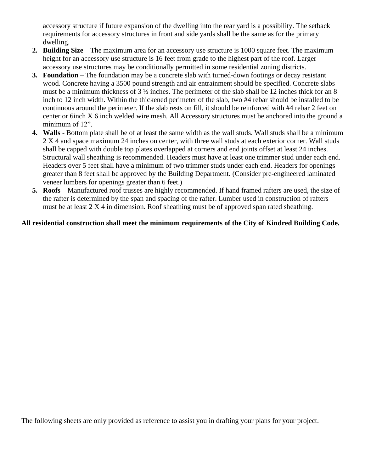accessory structure if future expansion of the dwelling into the rear yard is a possibility. The setback requirements for accessory structures in front and side yards shall be the same as for the primary dwelling.

- **2. Building Size –** The maximum area for an accessory use structure is 1000 square feet. The maximum height for an accessory use structure is 16 feet from grade to the highest part of the roof. Larger accessory use structures may be conditionally permitted in some residential zoning districts.
- **3. Foundation –** The foundation may be a concrete slab with turned-down footings or decay resistant wood. Concrete having a 3500 pound strength and air entrainment should be specified. Concrete slabs must be a minimum thickness of 3 ½ inches. The perimeter of the slab shall be 12 inches thick for an 8 inch to 12 inch width. Within the thickened perimeter of the slab, two #4 rebar should be installed to be continuous around the perimeter. If the slab rests on fill, it should be reinforced with #4 rebar 2 feet on center or 6inch X 6 inch welded wire mesh. All Accessory structures must be anchored into the ground a minimum of 12".
- **4. Walls -** Bottom plate shall be of at least the same width as the wall studs. Wall studs shall be a minimum 2 X 4 and space maximum 24 inches on center, with three wall studs at each exterior corner. Wall studs shall be capped with double top plates overlapped at corners and end joints offset at least 24 inches. Structural wall sheathing is recommended. Headers must have at least one trimmer stud under each end. Headers over 5 feet shall have a minimum of two trimmer studs under each end. Headers for openings greater than 8 feet shall be approved by the Building Department. (Consider pre-engineered laminated veneer lumbers for openings greater than 6 feet.)
- **5. Roofs –** Manufactured roof trusses are highly recommended. If hand framed rafters are used, the size of the rafter is determined by the span and spacing of the rafter. Lumber used in construction of rafters must be at least 2 X 4 in dimension. Roof sheathing must be of approved span rated sheathing.

## **All residential construction shall meet the minimum requirements of the City of Kindred Building Code.**

The following sheets are only provided as reference to assist you in drafting your plans for your project.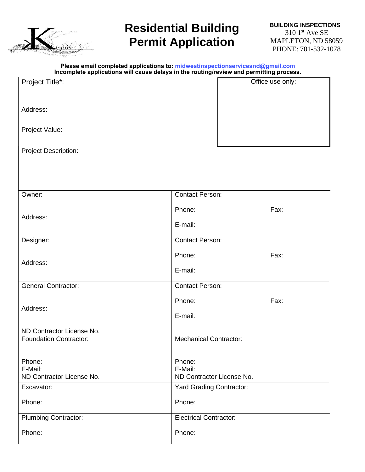

# **Residential Building Permit Application**

#### **Please email completed applications to: midwestinspectionservicesnd@gmail.com Incomplete applications will cause delays in the routing/review and permitting process.**

| Project Title*:               | Office use only:                |
|-------------------------------|---------------------------------|
|                               |                                 |
|                               |                                 |
| Address:                      |                                 |
| Project Value:                |                                 |
|                               |                                 |
| <b>Project Description:</b>   |                                 |
|                               |                                 |
|                               |                                 |
|                               |                                 |
| Owner:                        | <b>Contact Person:</b>          |
|                               |                                 |
| Address:                      | Fax:<br>Phone:                  |
|                               | E-mail:                         |
| Designer:                     | <b>Contact Person:</b>          |
|                               |                                 |
| Address:                      | Fax:<br>Phone:                  |
|                               | E-mail:                         |
| <b>General Contractor:</b>    | <b>Contact Person:</b>          |
|                               |                                 |
| Address:                      | Phone:<br>Fax:                  |
|                               | E-mail:                         |
| ND Contractor License No.     |                                 |
| <b>Foundation Contractor:</b> | <b>Mechanical Contractor:</b>   |
|                               |                                 |
| Phone:                        | Phone:                          |
| E-Mail:                       | E-Mail:                         |
| ND Contractor License No.     | ND Contractor License No.       |
| Excavator:                    | <b>Yard Grading Contractor:</b> |
| Phone:                        | Phone:                          |
| <b>Plumbing Contractor:</b>   | <b>Electrical Contractor:</b>   |
|                               |                                 |
| Phone:                        | Phone:                          |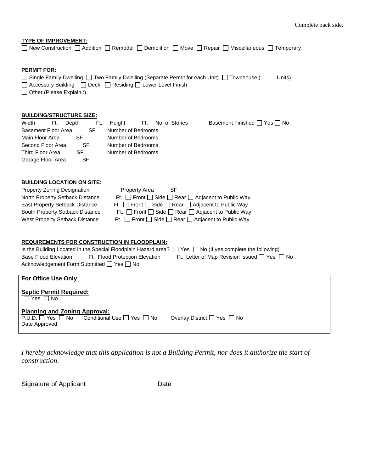**TYPE OF IMPROVEMENT:** □ New Construction □ Addition □ Remodel □ Demolition □ Move □ Repair □ Miscellaneous □ Temporary

### **PERMIT FOR:**

□ Single Family Dwelling □ Two Family Dwelling (Separate Permit for each Unit) □ Townhouse ( Units)  $\Box$  Accessory Building  $\Box$  Deck  $\Box$  Residing  $\Box$  Lower Level Finish □ Other (Please Explain :)

### **BUILDING/STRUCTURE SIZE:**

| Width               | er Ft. | Depth | Ft. |                    | Height Ft. No. of Stories | Basement Finished $\Box$ Yes $\Box$ No |
|---------------------|--------|-------|-----|--------------------|---------------------------|----------------------------------------|
| Basement Floor Area |        |       | SF  | Number of Bedrooms |                           |                                        |
| Main Floor Area     |        | SF    |     | Number of Bedrooms |                           |                                        |
| Second Floor Area   |        |       | SF  | Number of Bedrooms |                           |                                        |
| Third Floor Area    |        | SF    |     | Number of Bedrooms |                           |                                        |
| Garage Floor Area   |        |       | SF  |                    |                           |                                        |

### **BUILDING LOCATION ON SITE:**

| <b>Property Zoning Designation</b>    | <b>Property Area</b><br><b>SF</b>                                      |
|---------------------------------------|------------------------------------------------------------------------|
| North Property Setback Distance       | Ft. $\Box$ Front $\Box$ Side $\Box$ Rear $\Box$ Adjacent to Public Way |
| East Property Setback Distance        | Ft. $\Box$ Front $\Box$ Side $\Box$ Rear $\Box$ Adjacent to Public Way |
| South Property Setback Distance       | Ft. $\Box$ Front $\Box$ Side $\Box$ Rear $\Box$ Adjacent to Public Way |
| <b>West Property Setback Distance</b> | Ft. $\Box$ Front $\Box$ Side $\Box$ Rear $\Box$ Adjacent to Public Way |

### **REQUIREMENTS FOR CONSTRUCTION IN FLOODPLAIN:**

|                                           |                                | Is the Building Located in the Special Floodplain Hazard area? $\Box$ Yes $\Box$ No (If yes complete the following) |
|-------------------------------------------|--------------------------------|---------------------------------------------------------------------------------------------------------------------|
| Base Flood Elevation                      | Ft. Flood Protection Elevation | Ft. Letter of Map Revision Issued $\Box$ Yes $\Box$ No                                                              |
| Acknowledgement Form Submitted □ Yes □ No |                                |                                                                                                                     |

| <b>For Office Use Only</b>                                                                                                        |                             |
|-----------------------------------------------------------------------------------------------------------------------------------|-----------------------------|
| <b>Septic Permit Required:</b><br>$\Box$ Yes $\Box$ No                                                                            |                             |
| <b>Planning and Zoning Approval:</b><br>$P.U.D. \square Yes \square No$ Conditional Use $\square Yes \square No$<br>Date Approved | Overlay District □ Yes □ No |

*I hereby acknowledge that this application is not a Building Permit, nor does it authorize the start of construction.*

Signature of Applicant Date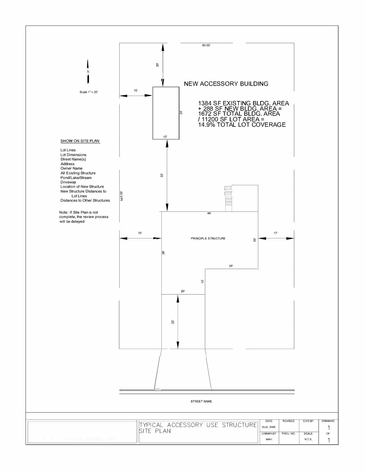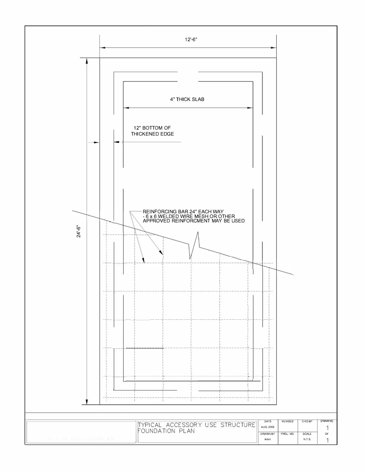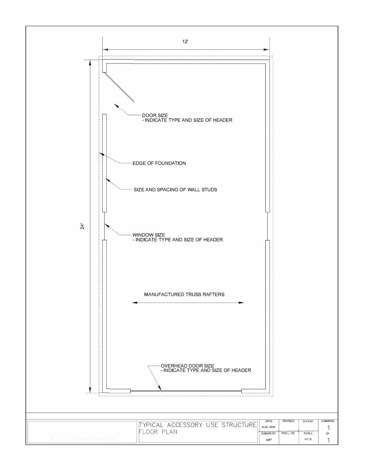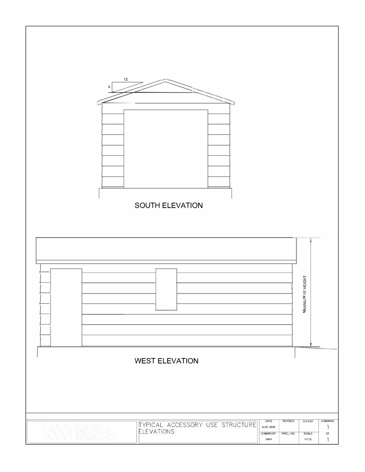